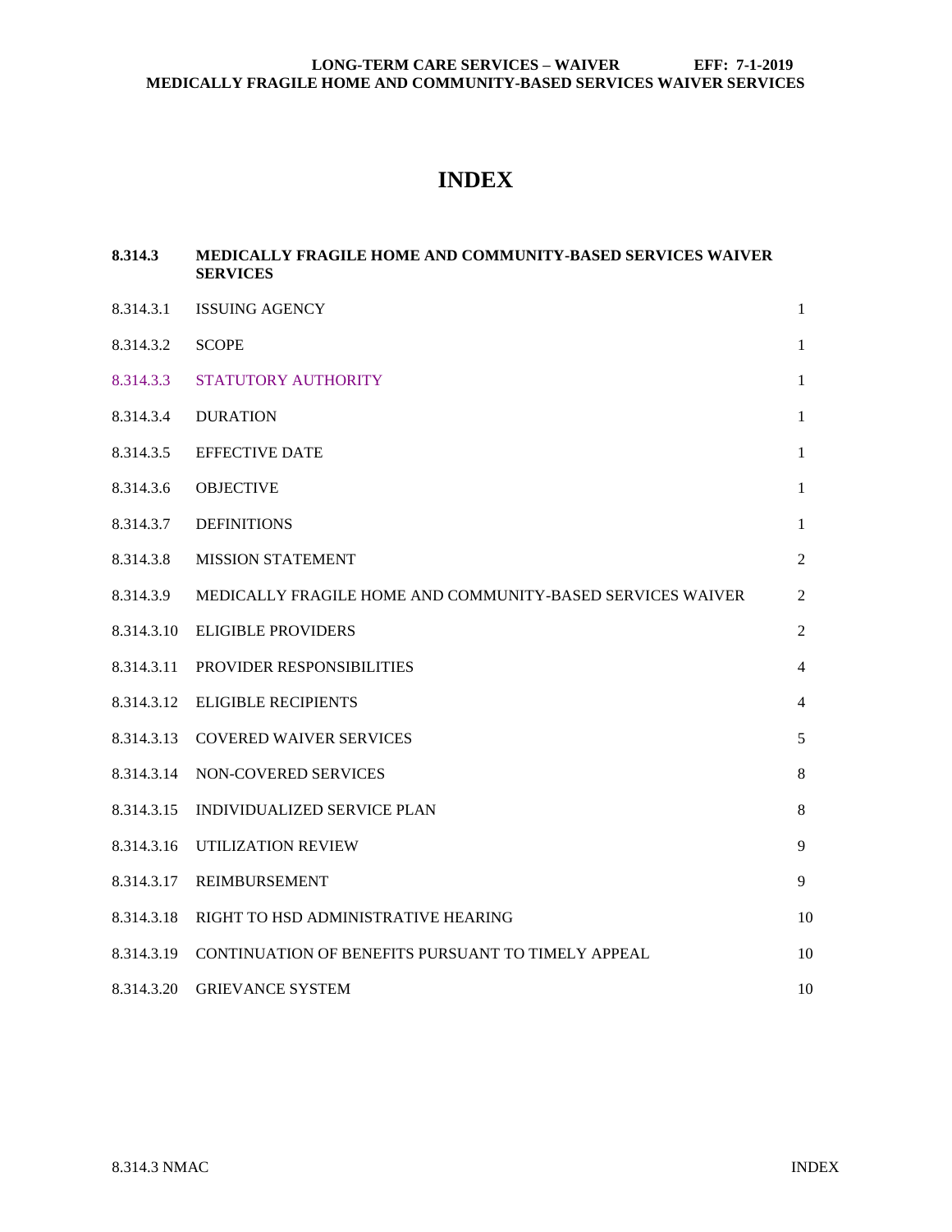# **INDEX**

# **8.314.3 [MEDICALLY FRAGILE HOME AND COMMUNITY-BASED SERVICES WAIVER](#page-1-0)  [SERVICES](#page-1-0)**

| 8.314.3.1  | <b>ISSUING AGENCY</b>                                      | $\mathbf{1}$   |
|------------|------------------------------------------------------------|----------------|
| 8.314.3.2  | <b>SCOPE</b>                                               | $\mathbf{1}$   |
| 8.314.3.3  | STATUTORY AUTHORITY                                        | $\mathbf{1}$   |
| 8.314.3.4  | <b>DURATION</b>                                            | $\mathbf{1}$   |
| 8.314.3.5  | <b>EFFECTIVE DATE</b>                                      | $\mathbf{1}$   |
| 8.314.3.6  | <b>OBJECTIVE</b>                                           | $\mathbf{1}$   |
| 8.314.3.7  | <b>DEFINITIONS</b>                                         | $\mathbf{1}$   |
| 8.314.3.8  | <b>MISSION STATEMENT</b>                                   | $\overline{2}$ |
| 8.314.3.9  | MEDICALLY FRAGILE HOME AND COMMUNITY-BASED SERVICES WAIVER | 2              |
| 8.314.3.10 | <b>ELIGIBLE PROVIDERS</b>                                  | 2              |
| 8.314.3.11 | PROVIDER RESPONSIBILITIES                                  | $\overline{4}$ |
| 8.314.3.12 | <b>ELIGIBLE RECIPIENTS</b>                                 | $\overline{4}$ |
| 8.314.3.13 | <b>COVERED WAIVER SERVICES</b>                             | 5              |
| 8.314.3.14 | NON-COVERED SERVICES                                       | $\,8\,$        |
| 8.314.3.15 | INDIVIDUALIZED SERVICE PLAN                                | 8              |
| 8.314.3.16 | UTILIZATION REVIEW                                         | 9              |
| 8.314.3.17 | <b>REIMBURSEMENT</b>                                       | 9              |
| 8.314.3.18 | RIGHT TO HSD ADMINISTRATIVE HEARING                        | 10             |
| 8.314.3.19 | CONTINUATION OF BENEFITS PURSUANT TO TIMELY APPEAL         | 10             |
| 8.314.3.20 | <b>GRIEVANCE SYSTEM</b>                                    | 10             |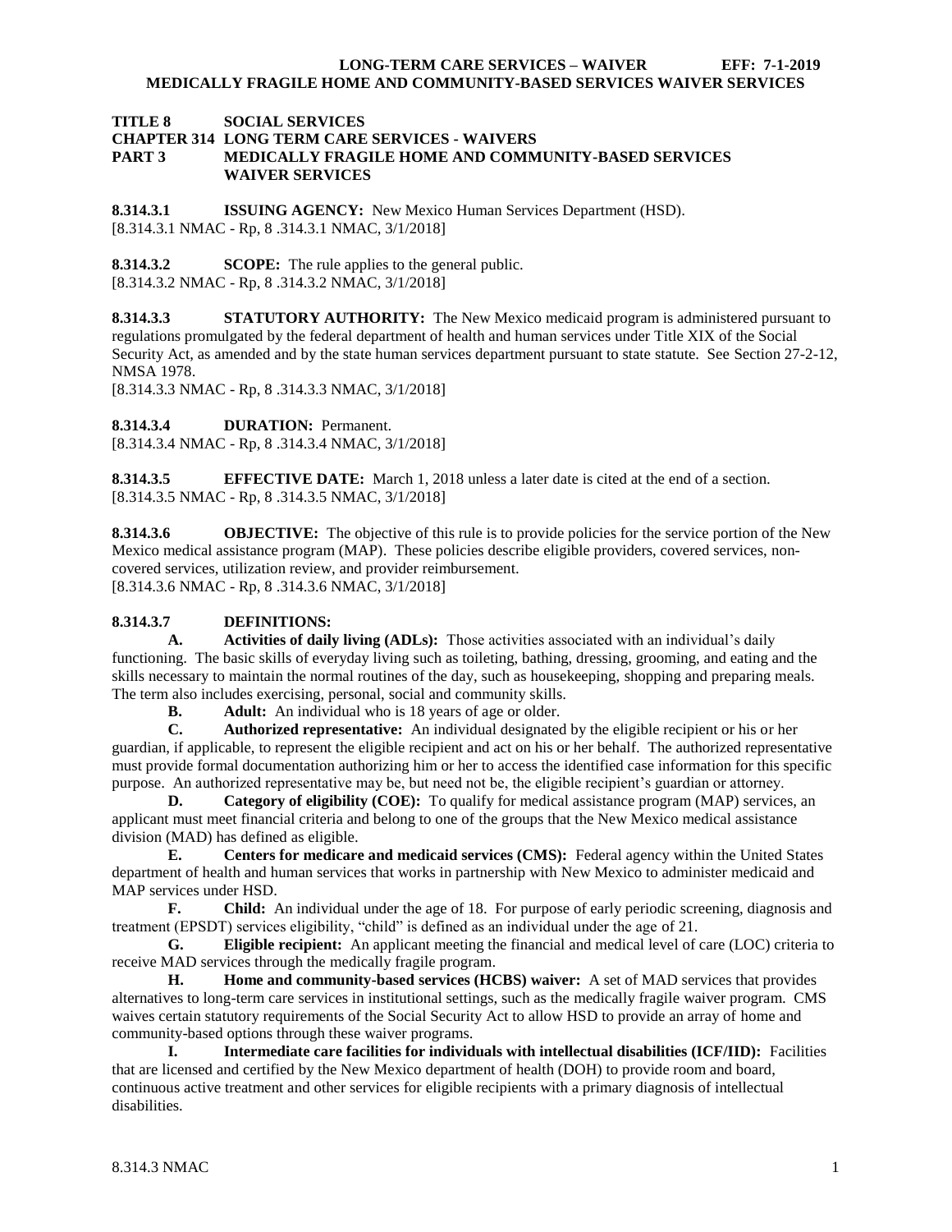#### <span id="page-1-0"></span>**TITLE 8 SOCIAL SERVICES CHAPTER 314 LONG TERM CARE SERVICES - WAIVERS PART 3 MEDICALLY FRAGILE HOME AND COMMUNITY-BASED SERVICES WAIVER SERVICES**

<span id="page-1-1"></span>**8.314.3.1 ISSUING AGENCY:** New Mexico Human Services Department (HSD). [8.314.3.1 NMAC - Rp, 8 .314.3.1 NMAC, 3/1/2018]

<span id="page-1-2"></span>**8.314.3.2 SCOPE:** The rule applies to the general public. [8.314.3.2 NMAC - Rp, 8 .314.3.2 NMAC, 3/1/2018]

<span id="page-1-3"></span>**8.314.3.3 STATUTORY AUTHORITY:** The New Mexico medicaid program is administered pursuant to regulations promulgated by the federal department of health and human services under Title XIX of the Social Security Act, as amended and by the state human services department pursuant to state statute. See Section 27-2-12, NMSA 1978.

[8.314.3.3 NMAC - Rp, 8 .314.3.3 NMAC, 3/1/2018]

<span id="page-1-4"></span>**8.314.3.4 DURATION:** Permanent.

[8.314.3.4 NMAC - Rp, 8 .314.3.4 NMAC, 3/1/2018]

<span id="page-1-5"></span>**8.314.3.5 EFFECTIVE DATE:** March 1, 2018 unless a later date is cited at the end of a section. [8.314.3.5 NMAC - Rp, 8 .314.3.5 NMAC, 3/1/2018]

<span id="page-1-6"></span>**8.314.3.6 OBJECTIVE:** The objective of this rule is to provide policies for the service portion of the New Mexico medical assistance program (MAP). These policies describe eligible providers, covered services, noncovered services, utilization review, and provider reimbursement. [8.314.3.6 NMAC - Rp, 8 .314.3.6 NMAC, 3/1/2018]

## <span id="page-1-7"></span>**8.314.3.7 DEFINITIONS:**

**A. Activities of daily living (ADLs):** Those activities associated with an individual's daily functioning. The basic skills of everyday living such as toileting, bathing, dressing, grooming, and eating and the skills necessary to maintain the normal routines of the day, such as housekeeping, shopping and preparing meals. The term also includes exercising, personal, social and community skills.

**B. Adult:** An individual who is 18 years of age or older.<br>**C. Authorized representative:** An individual designated

**C. Authorized representative:** An individual designated by the eligible recipient or his or her guardian, if applicable, to represent the eligible recipient and act on his or her behalf. The authorized representative must provide formal documentation authorizing him or her to access the identified case information for this specific purpose. An authorized representative may be, but need not be, the eligible recipient's guardian or attorney.

**D. Category of eligibility (COE):** To qualify for medical assistance program (MAP) services, an applicant must meet financial criteria and belong to one of the groups that the New Mexico medical assistance division (MAD) has defined as eligible.

**E. Centers for medicare and medicaid services (CMS):** Federal agency within the United States department of health and human services that works in partnership with New Mexico to administer medicaid and MAP services under HSD.

**F. Child:** An individual under the age of 18. For purpose of early periodic screening, diagnosis and treatment (EPSDT) services eligibility, "child" is defined as an individual under the age of 21.

**G. Eligible recipient:** An applicant meeting the financial and medical level of care (LOC) criteria to receive MAD services through the medically fragile program.

**H. Home and community-based services (HCBS) waiver:** A set of MAD services that provides alternatives to long-term care services in institutional settings, such as the medically fragile waiver program. CMS waives certain statutory requirements of the Social Security Act to allow HSD to provide an array of home and community-based options through these waiver programs.

**I. Intermediate care facilities for individuals with intellectual disabilities (ICF/IID):** Facilities that are licensed and certified by the New Mexico department of health (DOH) to provide room and board, continuous active treatment and other services for eligible recipients with a primary diagnosis of intellectual disabilities.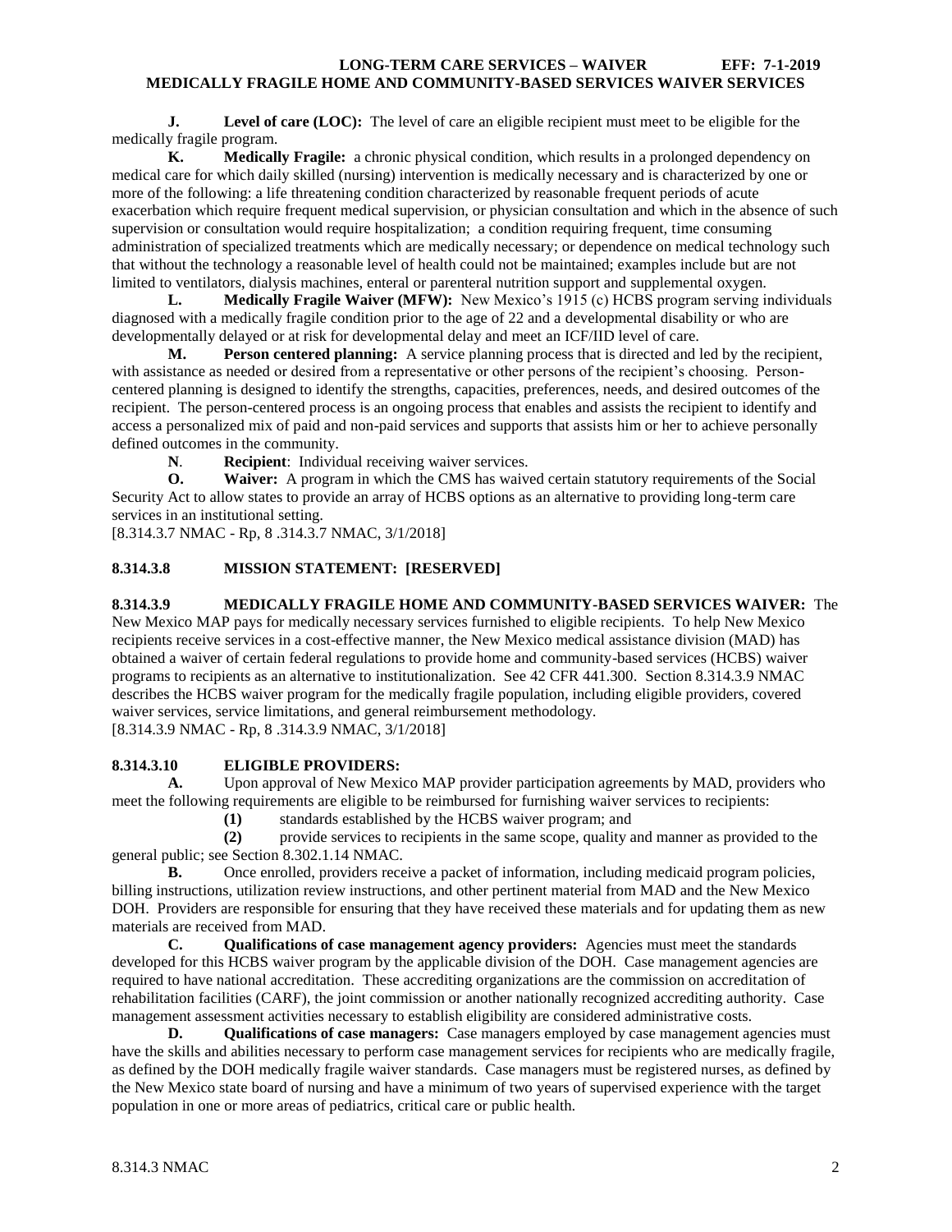**J. Level of care (LOC):** The level of care an eligible recipient must meet to be eligible for the medically fragile program.

**K. Medically Fragile:** a chronic physical condition, which results in a prolonged dependency on medical care for which daily skilled (nursing) intervention is medically necessary and is characterized by one or more of the following: a life threatening condition characterized by reasonable frequent periods of acute exacerbation which require frequent medical supervision, or physician consultation and which in the absence of such supervision or consultation would require hospitalization; a condition requiring frequent, time consuming administration of specialized treatments which are medically necessary; or dependence on medical technology such that without the technology a reasonable level of health could not be maintained; examples include but are not limited to ventilators, dialysis machines, enteral or parenteral nutrition support and supplemental oxygen.

**L. Medically Fragile Waiver (MFW):** New Mexico's 1915 (c) HCBS program serving individuals diagnosed with a medically fragile condition prior to the age of 22 and a developmental disability or who are developmentally delayed or at risk for developmental delay and meet an ICF/IID level of care.

**M. Person centered planning:** A service planning process that is directed and led by the recipient, with assistance as needed or desired from a representative or other persons of the recipient's choosing. Personcentered planning is designed to identify the strengths, capacities, preferences, needs, and desired outcomes of the recipient. The person-centered process is an ongoing process that enables and assists the recipient to identify and access a personalized mix of paid and non-paid services and supports that assists him or her to achieve personally defined outcomes in the community.

**N**. **Recipient**: Individual receiving waiver services.

**O. Waiver:** A program in which the CMS has waived certain statutory requirements of the Social Security Act to allow states to provide an array of HCBS options as an alternative to providing long-term care services in an institutional setting.

[8.314.3.7 NMAC - Rp, 8 .314.3.7 NMAC, 3/1/2018]

# <span id="page-2-0"></span>**8.314.3.8 MISSION STATEMENT: [RESERVED]**

# <span id="page-2-1"></span>**8.314.3.9 MEDICALLY FRAGILE HOME AND COMMUNITY-BASED SERVICES WAIVER:** The

New Mexico MAP pays for medically necessary services furnished to eligible recipients. To help New Mexico recipients receive services in a cost-effective manner, the New Mexico medical assistance division (MAD) has obtained a waiver of certain federal regulations to provide home and community-based services (HCBS) waiver programs to recipients as an alternative to institutionalization. See 42 CFR 441.300. Section 8.314.3.9 NMAC describes the HCBS waiver program for the medically fragile population, including eligible providers, covered waiver services, service limitations, and general reimbursement methodology.

[8.314.3.9 NMAC - Rp, 8 .314.3.9 NMAC, 3/1/2018]

## <span id="page-2-2"></span>**8.314.3.10 ELIGIBLE PROVIDERS:**

**A.** Upon approval of New Mexico MAP provider participation agreements by MAD, providers who meet the following requirements are eligible to be reimbursed for furnishing waiver services to recipients:

**(1)** standards established by the HCBS waiver program; and

**(2)** provide services to recipients in the same scope, quality and manner as provided to the general public; see Section 8.302.1.14 NMAC.

**B.** Once enrolled, providers receive a packet of information, including medicaid program policies, billing instructions, utilization review instructions, and other pertinent material from MAD and the New Mexico DOH. Providers are responsible for ensuring that they have received these materials and for updating them as new materials are received from MAD.

**C. Qualifications of case management agency providers:** Agencies must meet the standards developed for this HCBS waiver program by the applicable division of the DOH. Case management agencies are required to have national accreditation. These accrediting organizations are the commission on accreditation of rehabilitation facilities (CARF), the joint commission or another nationally recognized accrediting authority. Case management assessment activities necessary to establish eligibility are considered administrative costs.

**D. Qualifications of case managers:** Case managers employed by case management agencies must have the skills and abilities necessary to perform case management services for recipients who are medically fragile, as defined by the DOH medically fragile waiver standards. Case managers must be registered nurses, as defined by the New Mexico state board of nursing and have a minimum of two years of supervised experience with the target population in one or more areas of pediatrics, critical care or public health.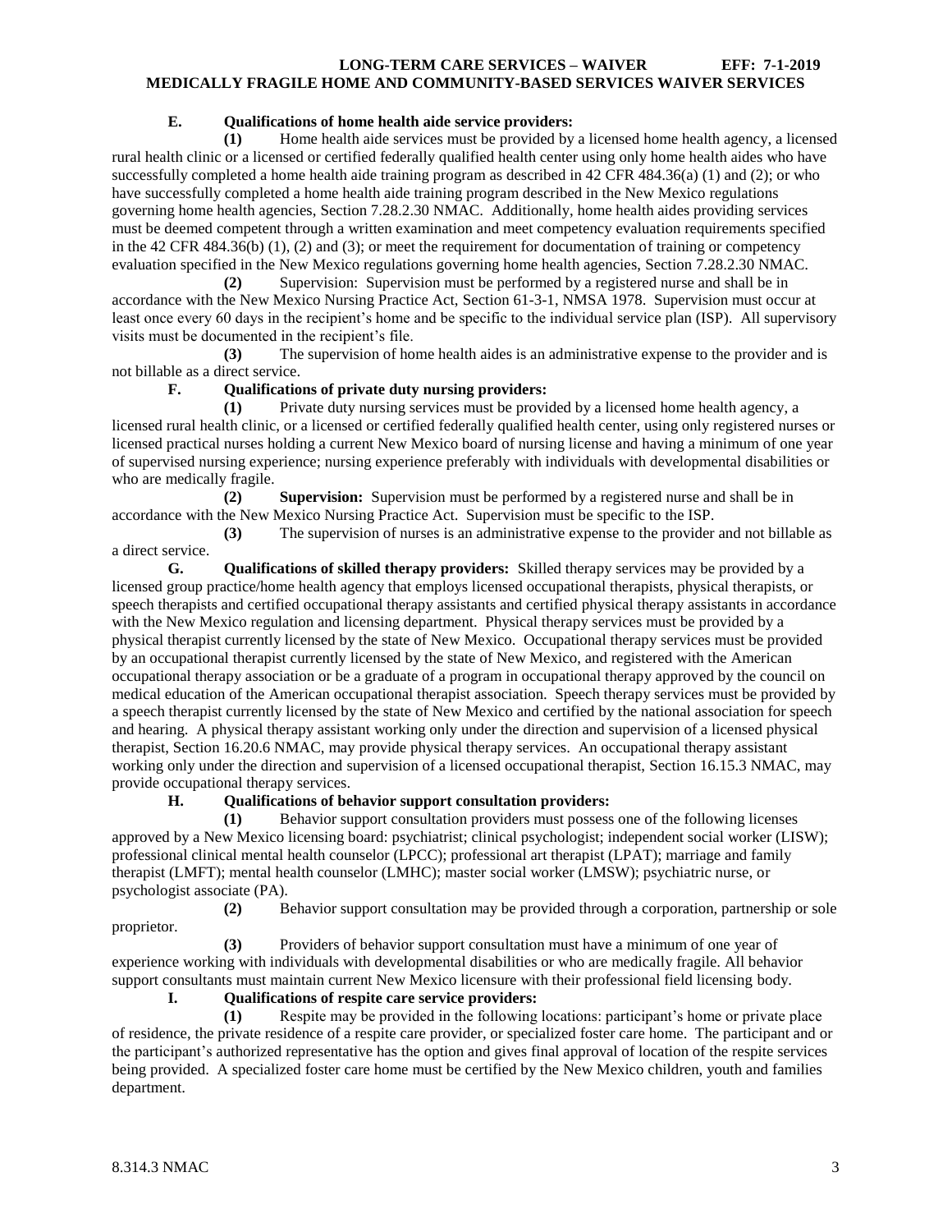# **E. Qualifications of home health aide service providers:**

**(1)** Home health aide services must be provided by a licensed home health agency, a licensed rural health clinic or a licensed or certified federally qualified health center using only home health aides who have successfully completed a home health aide training program as described in 42 CFR 484.36(a) (1) and (2); or who have successfully completed a home health aide training program described in the New Mexico regulations governing home health agencies, Section 7.28.2.30 NMAC. Additionally, home health aides providing services must be deemed competent through a written examination and meet competency evaluation requirements specified in the 42 CFR 484.36(b) (1), (2) and (3); or meet the requirement for documentation of training or competency evaluation specified in the New Mexico regulations governing home health agencies, Section 7.28.2.30 NMAC.

**(2)** Supervision: Supervision must be performed by a registered nurse and shall be in accordance with the New Mexico Nursing Practice Act, Section 61-3-1, NMSA 1978. Supervision must occur at least once every 60 days in the recipient's home and be specific to the individual service plan (ISP). All supervisory visits must be documented in the recipient's file.

**(3)** The supervision of home health aides is an administrative expense to the provider and is not billable as a direct service.

# **F. Qualifications of private duty nursing providers:**

**(1)** Private duty nursing services must be provided by a licensed home health agency, a licensed rural health clinic, or a licensed or certified federally qualified health center, using only registered nurses or licensed practical nurses holding a current New Mexico board of nursing license and having a minimum of one year of supervised nursing experience; nursing experience preferably with individuals with developmental disabilities or who are medically fragile.

**(2) Supervision:** Supervision must be performed by a registered nurse and shall be in accordance with the New Mexico Nursing Practice Act. Supervision must be specific to the ISP.

**(3)** The supervision of nurses is an administrative expense to the provider and not billable as a direct service.

**G. Qualifications of skilled therapy providers:** Skilled therapy services may be provided by a licensed group practice/home health agency that employs licensed occupational therapists, physical therapists, or speech therapists and certified occupational therapy assistants and certified physical therapy assistants in accordance with the New Mexico regulation and licensing department. Physical therapy services must be provided by a physical therapist currently licensed by the state of New Mexico. Occupational therapy services must be provided by an occupational therapist currently licensed by the state of New Mexico, and registered with the American occupational therapy association or be a graduate of a program in occupational therapy approved by the council on medical education of the American occupational therapist association. Speech therapy services must be provided by a speech therapist currently licensed by the state of New Mexico and certified by the national association for speech and hearing. A physical therapy assistant working only under the direction and supervision of a licensed physical therapist, Section 16.20.6 NMAC, may provide physical therapy services. An occupational therapy assistant working only under the direction and supervision of a licensed occupational therapist, Section 16.15.3 NMAC, may provide occupational therapy services.

# **H. Qualifications of behavior support consultation providers:**

**(1)** Behavior support consultation providers must possess one of the following licenses approved by a New Mexico licensing board: psychiatrist; clinical psychologist; independent social worker (LISW); professional clinical mental health counselor (LPCC); professional art therapist (LPAT); marriage and family therapist (LMFT); mental health counselor (LMHC); master social worker (LMSW); psychiatric nurse, or psychologist associate (PA).

**(2)** Behavior support consultation may be provided through a corporation, partnership or sole proprietor.

**(3)** Providers of behavior support consultation must have a minimum of one year of experience working with individuals with developmental disabilities or who are medically fragile. All behavior support consultants must maintain current New Mexico licensure with their professional field licensing body.

# **I. Qualifications of respite care service providers:**

**(1)** Respite may be provided in the following locations: participant's home or private place of residence, the private residence of a respite care provider, or specialized foster care home. The participant and or the participant's authorized representative has the option and gives final approval of location of the respite services being provided. A specialized foster care home must be certified by the New Mexico children, youth and families department.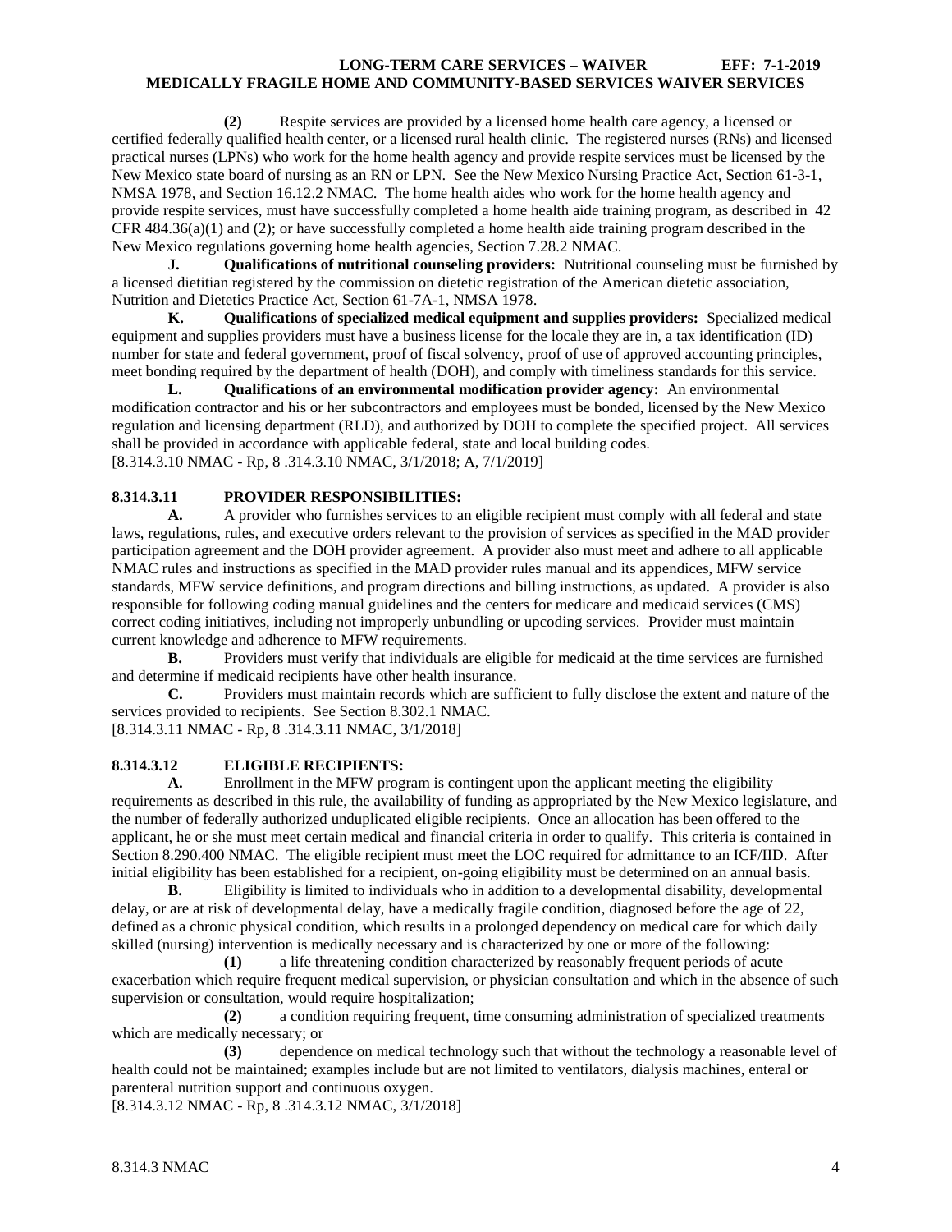**(2)** Respite services are provided by a licensed home health care agency, a licensed or certified federally qualified health center, or a licensed rural health clinic. The registered nurses (RNs) and licensed practical nurses (LPNs) who work for the home health agency and provide respite services must be licensed by the New Mexico state board of nursing as an RN or LPN. See the New Mexico Nursing Practice Act, Section 61-3-1, NMSA 1978, and Section 16.12.2 NMAC. The home health aides who work for the home health agency and provide respite services, must have successfully completed a home health aide training program, as described in 42 CFR 484.36(a)(1) and (2); or have successfully completed a home health aide training program described in the New Mexico regulations governing home health agencies, Section 7.28.2 NMAC.<br> **J.** Oualifications of nutritional counseling providers: Nutritional

**J. Qualifications of nutritional counseling providers:** Nutritional counseling must be furnished by a licensed dietitian registered by the commission on dietetic registration of the American dietetic association, Nutrition and Dietetics Practice Act, Section 61-7A-1, NMSA 1978.

**K. Qualifications of specialized medical equipment and supplies providers:** Specialized medical equipment and supplies providers must have a business license for the locale they are in, a tax identification (ID) number for state and federal government, proof of fiscal solvency, proof of use of approved accounting principles, meet bonding required by the department of health (DOH), and comply with timeliness standards for this service.

**L. Qualifications of an environmental modification provider agency:** An environmental modification contractor and his or her subcontractors and employees must be bonded, licensed by the New Mexico regulation and licensing department (RLD), and authorized by DOH to complete the specified project. All services shall be provided in accordance with applicable federal, state and local building codes. [8.314.3.10 NMAC - Rp, 8 .314.3.10 NMAC, 3/1/2018; A, 7/1/2019]

# <span id="page-4-0"></span>**8.314.3.11 PROVIDER RESPONSIBILITIES:**

**A.** A provider who furnishes services to an eligible recipient must comply with all federal and state laws, regulations, rules, and executive orders relevant to the provision of services as specified in the MAD provider participation agreement and the DOH provider agreement. A provider also must meet and adhere to all applicable NMAC rules and instructions as specified in the MAD provider rules manual and its appendices, MFW service standards, MFW service definitions, and program directions and billing instructions, as updated. A provider is also responsible for following coding manual guidelines and the centers for medicare and medicaid services (CMS) correct coding initiatives, including not improperly unbundling or upcoding services. Provider must maintain current knowledge and adherence to MFW requirements.

**B.** Providers must verify that individuals are eligible for medicaid at the time services are furnished and determine if medicaid recipients have other health insurance.

**C.** Providers must maintain records which are sufficient to fully disclose the extent and nature of the services provided to recipients. See Section 8.302.1 NMAC.

[8.314.3.11 NMAC - Rp, 8 .314.3.11 NMAC, 3/1/2018]

# <span id="page-4-1"></span>**8.314.3.12 ELIGIBLE RECIPIENTS:**

**A.** Enrollment in the MFW program is contingent upon the applicant meeting the eligibility requirements as described in this rule, the availability of funding as appropriated by the New Mexico legislature, and the number of federally authorized unduplicated eligible recipients. Once an allocation has been offered to the applicant, he or she must meet certain medical and financial criteria in order to qualify. This criteria is contained in Section 8.290.400 NMAC. The eligible recipient must meet the LOC required for admittance to an ICF/IID. After initial eligibility has been established for a recipient, on-going eligibility must be determined on an annual basis.

**B.** Eligibility is limited to individuals who in addition to a developmental disability, developmental delay, or are at risk of developmental delay, have a medically fragile condition, diagnosed before the age of 22, defined as a chronic physical condition, which results in a prolonged dependency on medical care for which daily skilled (nursing) intervention is medically necessary and is characterized by one or more of the following:

**(1)** a life threatening condition characterized by reasonably frequent periods of acute exacerbation which require frequent medical supervision, or physician consultation and which in the absence of such supervision or consultation, would require hospitalization;

**(2)** a condition requiring frequent, time consuming administration of specialized treatments which are medically necessary; or

**(3)** dependence on medical technology such that without the technology a reasonable level of health could not be maintained; examples include but are not limited to ventilators, dialysis machines, enteral or parenteral nutrition support and continuous oxygen.

[8.314.3.12 NMAC - Rp, 8 .314.3.12 NMAC, 3/1/2018]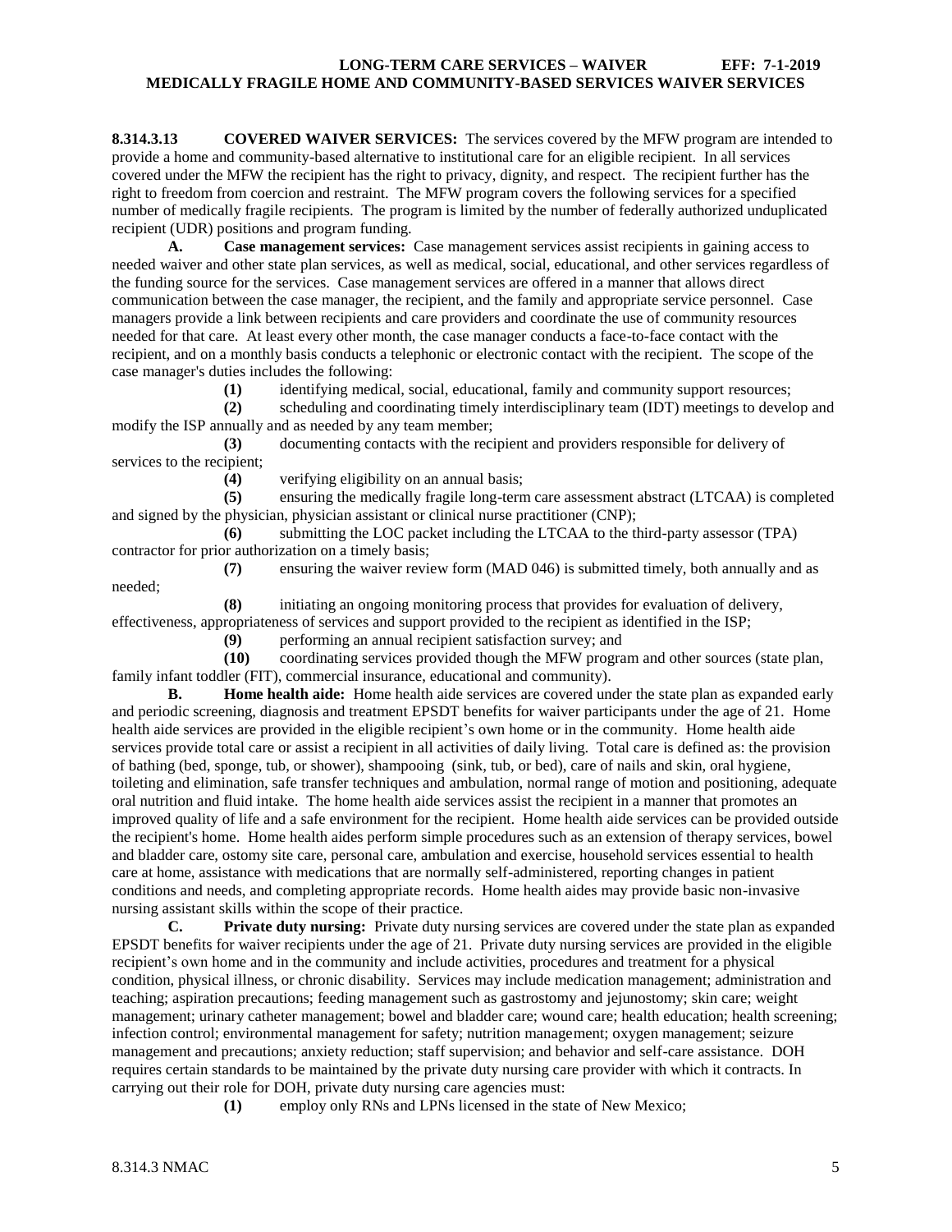<span id="page-5-0"></span>**8.314.3.13 COVERED WAIVER SERVICES:** The services covered by the MFW program are intended to provide a home and community-based alternative to institutional care for an eligible recipient. In all services covered under the MFW the recipient has the right to privacy, dignity, and respect. The recipient further has the right to freedom from coercion and restraint. The MFW program covers the following services for a specified number of medically fragile recipients. The program is limited by the number of federally authorized unduplicated recipient (UDR) positions and program funding.

**A. Case management services:** Case management services assist recipients in gaining access to needed waiver and other state plan services, as well as medical, social, educational, and other services regardless of the funding source for the services. Case management services are offered in a manner that allows direct communication between the case manager, the recipient, and the family and appropriate service personnel. Case managers provide a link between recipients and care providers and coordinate the use of community resources needed for that care. At least every other month, the case manager conducts a face-to-face contact with the recipient, and on a monthly basis conducts a telephonic or electronic contact with the recipient. The scope of the case manager's duties includes the following:

**(1)** identifying medical, social, educational, family and community support resources;

**(2)** scheduling and coordinating timely interdisciplinary team (IDT) meetings to develop and modify the ISP annually and as needed by any team member;

**(3)** documenting contacts with the recipient and providers responsible for delivery of services to the recipient;

**(4)** verifying eligibility on an annual basis;

**(5)** ensuring the medically fragile long-term care assessment abstract (LTCAA) is completed and signed by the physician, physician assistant or clinical nurse practitioner (CNP);

**(6)** submitting the LOC packet including the LTCAA to the third-party assessor (TPA) contractor for prior authorization on a timely basis;

**(7)** ensuring the waiver review form (MAD 046) is submitted timely, both annually and as

**(8)** initiating an ongoing monitoring process that provides for evaluation of delivery, effectiveness, appropriateness of services and support provided to the recipient as identified in the ISP;

**(9)** performing an annual recipient satisfaction survey; and

**(10)** coordinating services provided though the MFW program and other sources (state plan, family infant toddler (FIT), commercial insurance, educational and community).

**B. Home health aide:** Home health aide services are covered under the state plan as expanded early and periodic screening, diagnosis and treatment EPSDT benefits for waiver participants under the age of 21. Home health aide services are provided in the eligible recipient's own home or in the community. Home health aide services provide total care or assist a recipient in all activities of daily living. Total care is defined as: the provision of bathing (bed, sponge, tub, or shower), shampooing (sink, tub, or bed), care of nails and skin, oral hygiene, toileting and elimination, safe transfer techniques and ambulation, normal range of motion and positioning, adequate oral nutrition and fluid intake. The home health aide services assist the recipient in a manner that promotes an improved quality of life and a safe environment for the recipient. Home health aide services can be provided outside the recipient's home. Home health aides perform simple procedures such as an extension of therapy services, bowel and bladder care, ostomy site care, personal care, ambulation and exercise, household services essential to health care at home, assistance with medications that are normally self-administered, reporting changes in patient conditions and needs, and completing appropriate records. Home health aides may provide basic non-invasive nursing assistant skills within the scope of their practice.

**C. Private duty nursing:** Private duty nursing services are covered under the state plan as expanded EPSDT benefits for waiver recipients under the age of 21. Private duty nursing services are provided in the eligible recipient's own home and in the community and include activities, procedures and treatment for a physical condition, physical illness, or chronic disability. Services may include medication management; administration and teaching; aspiration precautions; feeding management such as gastrostomy and jejunostomy; skin care; weight management; urinary catheter management; bowel and bladder care; wound care; health education; health screening; infection control; environmental management for safety; nutrition management; oxygen management; seizure management and precautions; anxiety reduction; staff supervision; and behavior and self-care assistance. DOH requires certain standards to be maintained by the private duty nursing care provider with which it contracts. In carrying out their role for DOH, private duty nursing care agencies must:

**(1)** employ only RNs and LPNs licensed in the state of New Mexico;

needed;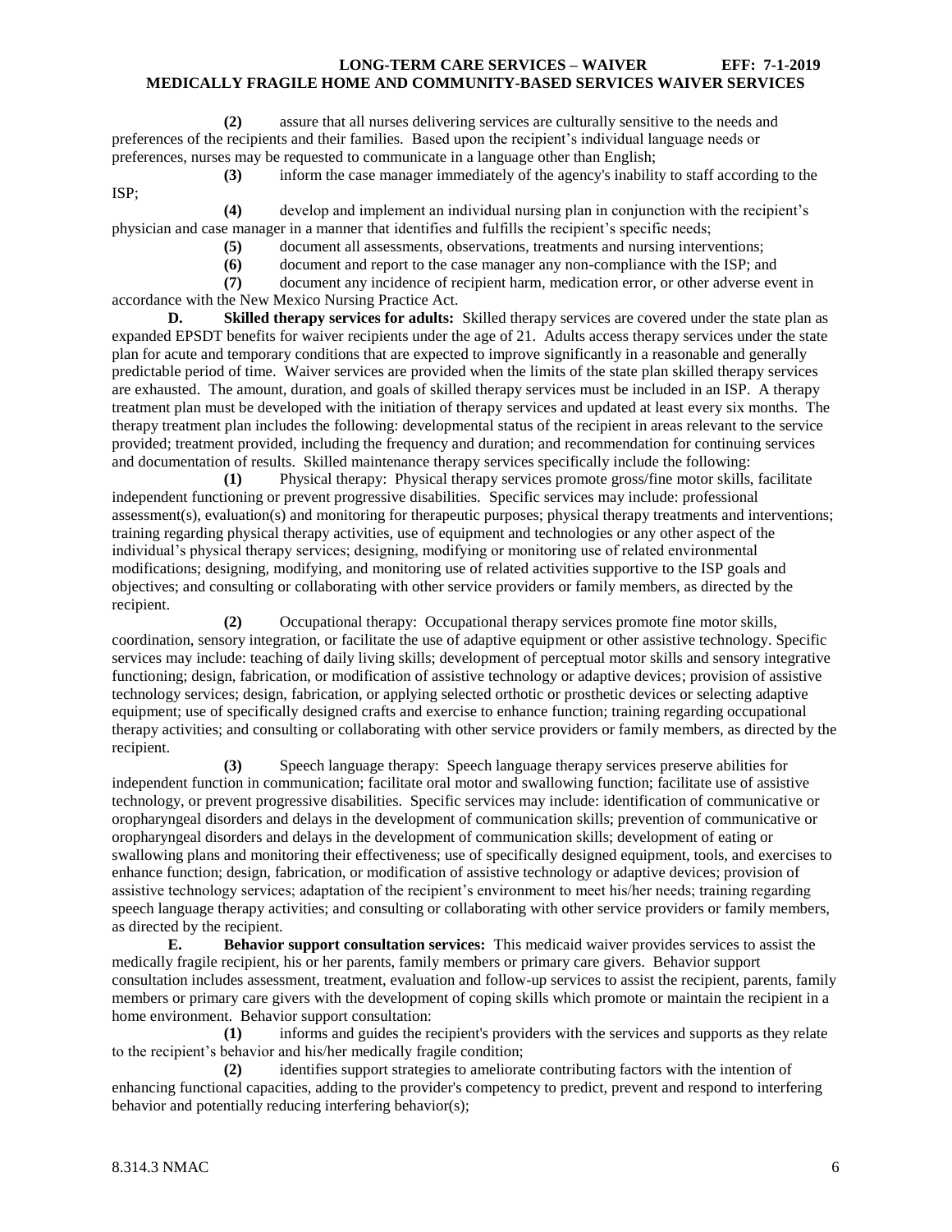**(2)** assure that all nurses delivering services are culturally sensitive to the needs and preferences of the recipients and their families. Based upon the recipient's individual language needs or preferences, nurses may be requested to communicate in a language other than English;

**(3)** inform the case manager immediately of the agency's inability to staff according to the ISP;

**(4)** develop and implement an individual nursing plan in conjunction with the recipient's physician and case manager in a manner that identifies and fulfills the recipient's specific needs;

- **(5)** document all assessments, observations, treatments and nursing interventions;
- **(6)** document and report to the case manager any non-compliance with the ISP; and

**(7)** document any incidence of recipient harm, medication error, or other adverse event in accordance with the New Mexico Nursing Practice Act.

**D. Skilled therapy services for adults:** Skilled therapy services are covered under the state plan as expanded EPSDT benefits for waiver recipients under the age of 21. Adults access therapy services under the state plan for acute and temporary conditions that are expected to improve significantly in a reasonable and generally predictable period of time. Waiver services are provided when the limits of the state plan skilled therapy services are exhausted. The amount, duration, and goals of skilled therapy services must be included in an ISP. A therapy treatment plan must be developed with the initiation of therapy services and updated at least every six months. The therapy treatment plan includes the following: developmental status of the recipient in areas relevant to the service provided; treatment provided, including the frequency and duration; and recommendation for continuing services and documentation of results. Skilled maintenance therapy services specifically include the following:

**(1)** Physical therapy: Physical therapy services promote gross/fine motor skills, facilitate independent functioning or prevent progressive disabilities. Specific services may include: professional assessment(s), evaluation(s) and monitoring for therapeutic purposes; physical therapy treatments and interventions; training regarding physical therapy activities, use of equipment and technologies or any other aspect of the individual's physical therapy services; designing, modifying or monitoring use of related environmental modifications; designing, modifying, and monitoring use of related activities supportive to the ISP goals and objectives; and consulting or collaborating with other service providers or family members, as directed by the recipient.

**(2)** Occupational therapy: Occupational therapy services promote fine motor skills, coordination, sensory integration, or facilitate the use of adaptive equipment or other assistive technology. Specific services may include: teaching of daily living skills; development of perceptual motor skills and sensory integrative functioning; design, fabrication, or modification of assistive technology or adaptive devices; provision of assistive technology services; design, fabrication, or applying selected orthotic or prosthetic devices or selecting adaptive equipment; use of specifically designed crafts and exercise to enhance function; training regarding occupational therapy activities; and consulting or collaborating with other service providers or family members, as directed by the recipient.

**(3)** Speech language therapy: Speech language therapy services preserve abilities for independent function in communication; facilitate oral motor and swallowing function; facilitate use of assistive technology, or prevent progressive disabilities. Specific services may include: identification of communicative or oropharyngeal disorders and delays in the development of communication skills; prevention of communicative or oropharyngeal disorders and delays in the development of communication skills; development of eating or swallowing plans and monitoring their effectiveness; use of specifically designed equipment, tools, and exercises to enhance function; design, fabrication, or modification of assistive technology or adaptive devices; provision of assistive technology services; adaptation of the recipient's environment to meet his/her needs; training regarding speech language therapy activities; and consulting or collaborating with other service providers or family members, as directed by the recipient.

**E. Behavior support consultation services:** This medicaid waiver provides services to assist the medically fragile recipient, his or her parents, family members or primary care givers. Behavior support consultation includes assessment, treatment, evaluation and follow-up services to assist the recipient, parents, family members or primary care givers with the development of coping skills which promote or maintain the recipient in a home environment. Behavior support consultation:

**(1)** informs and guides the recipient's providers with the services and supports as they relate to the recipient's behavior and his/her medically fragile condition;

**(2)** identifies support strategies to ameliorate contributing factors with the intention of enhancing functional capacities, adding to the provider's competency to predict, prevent and respond to interfering behavior and potentially reducing interfering behavior(s);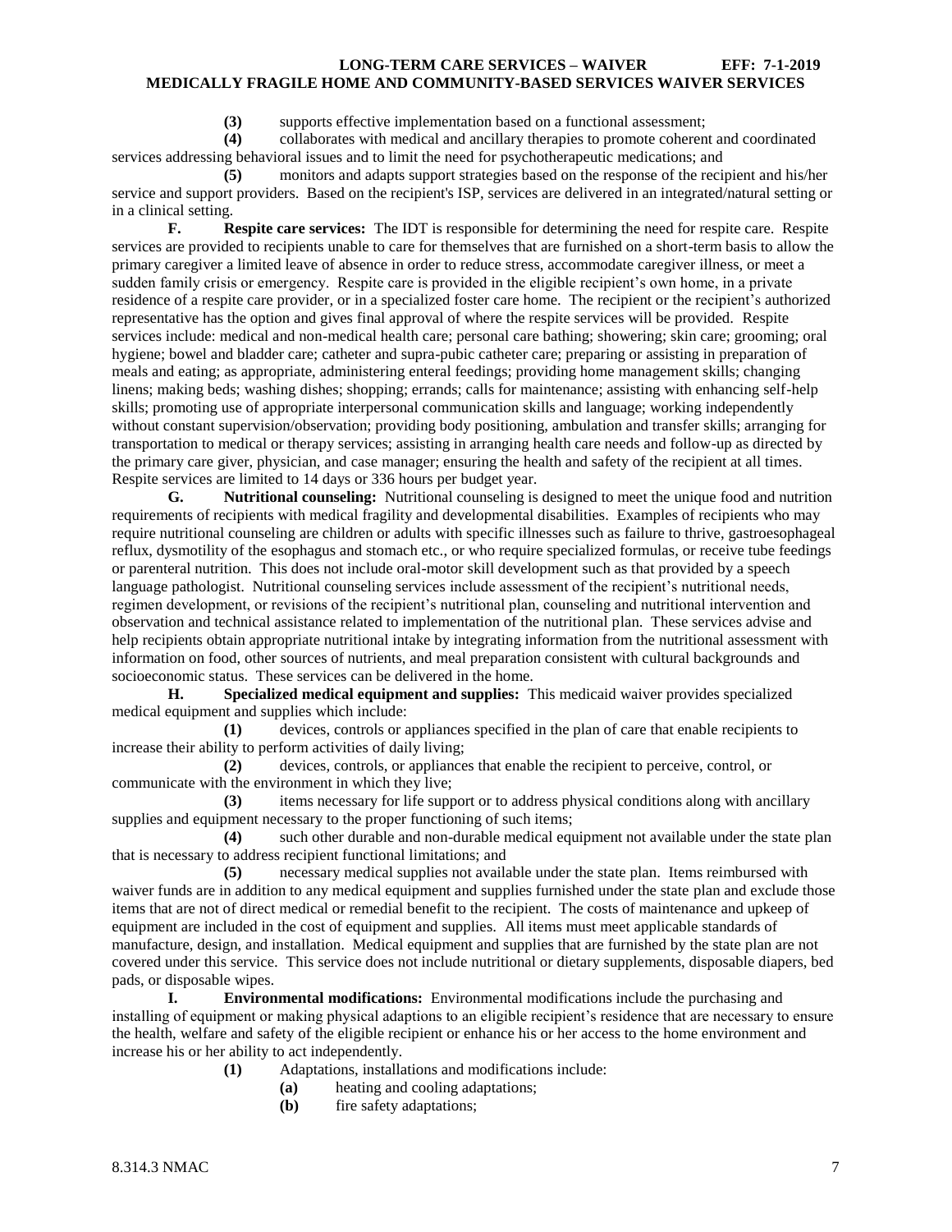**(3)** supports effective implementation based on a functional assessment;

**(4)** collaborates with medical and ancillary therapies to promote coherent and coordinated services addressing behavioral issues and to limit the need for psychotherapeutic medications; and

**(5)** monitors and adapts support strategies based on the response of the recipient and his/her service and support providers. Based on the recipient's ISP, services are delivered in an integrated/natural setting or in a clinical setting.

**F. Respite care services:** The IDT is responsible for determining the need for respite care. Respite services are provided to recipients unable to care for themselves that are furnished on a short-term basis to allow the primary caregiver a limited leave of absence in order to reduce stress, accommodate caregiver illness, or meet a sudden family crisis or emergency. Respite care is provided in the eligible recipient's own home, in a private residence of a respite care provider, or in a specialized foster care home. The recipient or the recipient's authorized representative has the option and gives final approval of where the respite services will be provided. Respite services include: medical and non-medical health care; personal care bathing; showering; skin care; grooming; oral hygiene; bowel and bladder care; catheter and supra-pubic catheter care; preparing or assisting in preparation of meals and eating; as appropriate, administering enteral feedings; providing home management skills; changing linens; making beds; washing dishes; shopping; errands; calls for maintenance; assisting with enhancing self-help skills; promoting use of appropriate interpersonal communication skills and language; working independently without constant supervision/observation; providing body positioning, ambulation and transfer skills; arranging for transportation to medical or therapy services; assisting in arranging health care needs and follow-up as directed by the primary care giver, physician, and case manager; ensuring the health and safety of the recipient at all times. Respite services are limited to 14 days or 336 hours per budget year.

**G. Nutritional counseling:** Nutritional counseling is designed to meet the unique food and nutrition requirements of recipients with medical fragility and developmental disabilities. Examples of recipients who may require nutritional counseling are children or adults with specific illnesses such as failure to thrive, gastroesophageal reflux, dysmotility of the esophagus and stomach etc., or who require specialized formulas, or receive tube feedings or parenteral nutrition. This does not include oral-motor skill development such as that provided by a speech language pathologist. Nutritional counseling services include assessment of the recipient's nutritional needs, regimen development, or revisions of the recipient's nutritional plan, counseling and nutritional intervention and observation and technical assistance related to implementation of the nutritional plan. These services advise and help recipients obtain appropriate nutritional intake by integrating information from the nutritional assessment with information on food, other sources of nutrients, and meal preparation consistent with cultural backgrounds and socioeconomic status. These services can be delivered in the home.

**H. Specialized medical equipment and supplies:** This medicaid waiver provides specialized medical equipment and supplies which include:

**(1)** devices, controls or appliances specified in the plan of care that enable recipients to increase their ability to perform activities of daily living;

**(2)** devices, controls, or appliances that enable the recipient to perceive, control, or communicate with the environment in which they live;

**(3)** items necessary for life support or to address physical conditions along with ancillary supplies and equipment necessary to the proper functioning of such items;

**(4)** such other durable and non-durable medical equipment not available under the state plan that is necessary to address recipient functional limitations; and

**(5)** necessary medical supplies not available under the state plan. Items reimbursed with waiver funds are in addition to any medical equipment and supplies furnished under the state plan and exclude those items that are not of direct medical or remedial benefit to the recipient. The costs of maintenance and upkeep of equipment are included in the cost of equipment and supplies. All items must meet applicable standards of manufacture, design, and installation. Medical equipment and supplies that are furnished by the state plan are not covered under this service. This service does not include nutritional or dietary supplements, disposable diapers, bed pads, or disposable wipes.

**I. Environmental modifications:** Environmental modifications include the purchasing and installing of equipment or making physical adaptions to an eligible recipient's residence that are necessary to ensure the health, welfare and safety of the eligible recipient or enhance his or her access to the home environment and increase his or her ability to act independently.

- **(1)** Adaptations, installations and modifications include:
	- **(a)** heating and cooling adaptations;
	- **(b)** fire safety adaptations;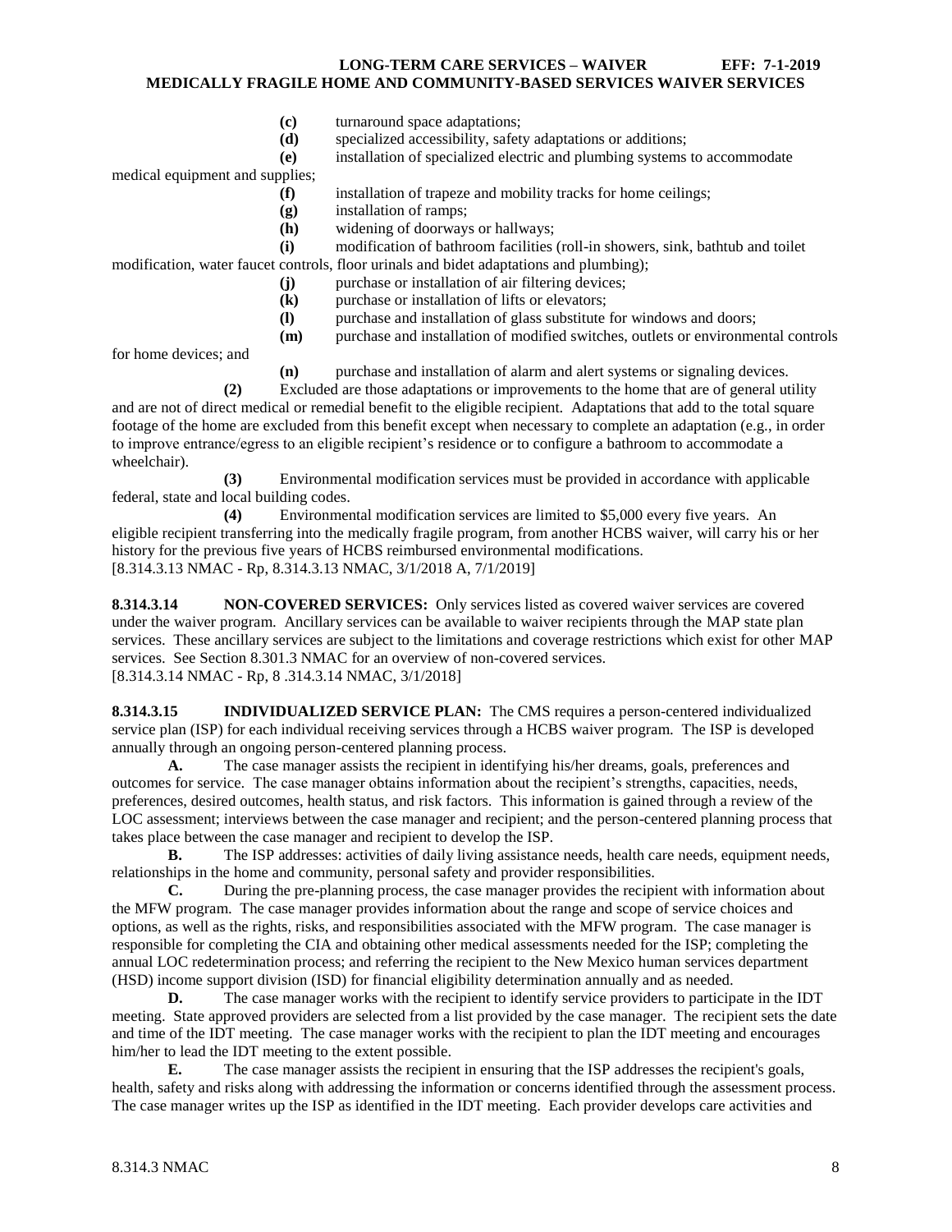- **(c)** turnaround space adaptations;
- **(d)** specialized accessibility, safety adaptations or additions;

**(e)** installation of specialized electric and plumbing systems to accommodate

medical equipment and supplies;

- **(f)** installation of trapeze and mobility tracks for home ceilings;
- **(g)** installation of ramps;
- **(h)** widening of doorways or hallways;

**(i)** modification of bathroom facilities (roll-in showers, sink, bathtub and toilet modification, water faucet controls, floor urinals and bidet adaptations and plumbing);

- **(j)** purchase or installation of air filtering devices;
- **(k)** purchase or installation of lifts or elevators;
- **(l)** purchase and installation of glass substitute for windows and doors;
- **(m)** purchase and installation of modified switches, outlets or environmental controls

for home devices; and

**(n)** purchase and installation of alarm and alert systems or signaling devices.

**(2)** Excluded are those adaptations or improvements to the home that are of general utility and are not of direct medical or remedial benefit to the eligible recipient. Adaptations that add to the total square footage of the home are excluded from this benefit except when necessary to complete an adaptation (e.g., in order to improve entrance/egress to an eligible recipient's residence or to configure a bathroom to accommodate a wheelchair).

**(3)** Environmental modification services must be provided in accordance with applicable federal, state and local building codes.

**(4)** Environmental modification services are limited to \$5,000 every five years. An eligible recipient transferring into the medically fragile program, from another HCBS waiver, will carry his or her history for the previous five years of HCBS reimbursed environmental modifications. [8.314.3.13 NMAC - Rp, 8.314.3.13 NMAC, 3/1/2018 A, 7/1/2019]

<span id="page-8-0"></span>**8.314.3.14 NON-COVERED SERVICES:** Only services listed as covered waiver services are covered under the waiver program. Ancillary services can be available to waiver recipients through the MAP state plan services. These ancillary services are subject to the limitations and coverage restrictions which exist for other MAP services. See Section 8.301.3 NMAC for an overview of non-covered services.

[8.314.3.14 NMAC - Rp, 8 .314.3.14 NMAC, 3/1/2018]

<span id="page-8-1"></span>**8.314.3.15 INDIVIDUALIZED SERVICE PLAN:** The CMS requires a person-centered individualized service plan (ISP) for each individual receiving services through a HCBS waiver program. The ISP is developed annually through an ongoing person-centered planning process.

**A.** The case manager assists the recipient in identifying his/her dreams, goals, preferences and outcomes for service. The case manager obtains information about the recipient's strengths, capacities, needs, preferences, desired outcomes, health status, and risk factors. This information is gained through a review of the LOC assessment; interviews between the case manager and recipient; and the person-centered planning process that takes place between the case manager and recipient to develop the ISP.

**B.** The ISP addresses: activities of daily living assistance needs, health care needs, equipment needs, relationships in the home and community, personal safety and provider responsibilities.

**C.** During the pre-planning process, the case manager provides the recipient with information about the MFW program. The case manager provides information about the range and scope of service choices and options, as well as the rights, risks, and responsibilities associated with the MFW program. The case manager is responsible for completing the CIA and obtaining other medical assessments needed for the ISP; completing the annual LOC redetermination process; and referring the recipient to the New Mexico human services department (HSD) income support division (ISD) for financial eligibility determination annually and as needed.

**D.** The case manager works with the recipient to identify service providers to participate in the IDT meeting. State approved providers are selected from a list provided by the case manager. The recipient sets the date and time of the IDT meeting. The case manager works with the recipient to plan the IDT meeting and encourages him/her to lead the IDT meeting to the extent possible.

**E.** The case manager assists the recipient in ensuring that the ISP addresses the recipient's goals, health, safety and risks along with addressing the information or concerns identified through the assessment process. The case manager writes up the ISP as identified in the IDT meeting. Each provider develops care activities and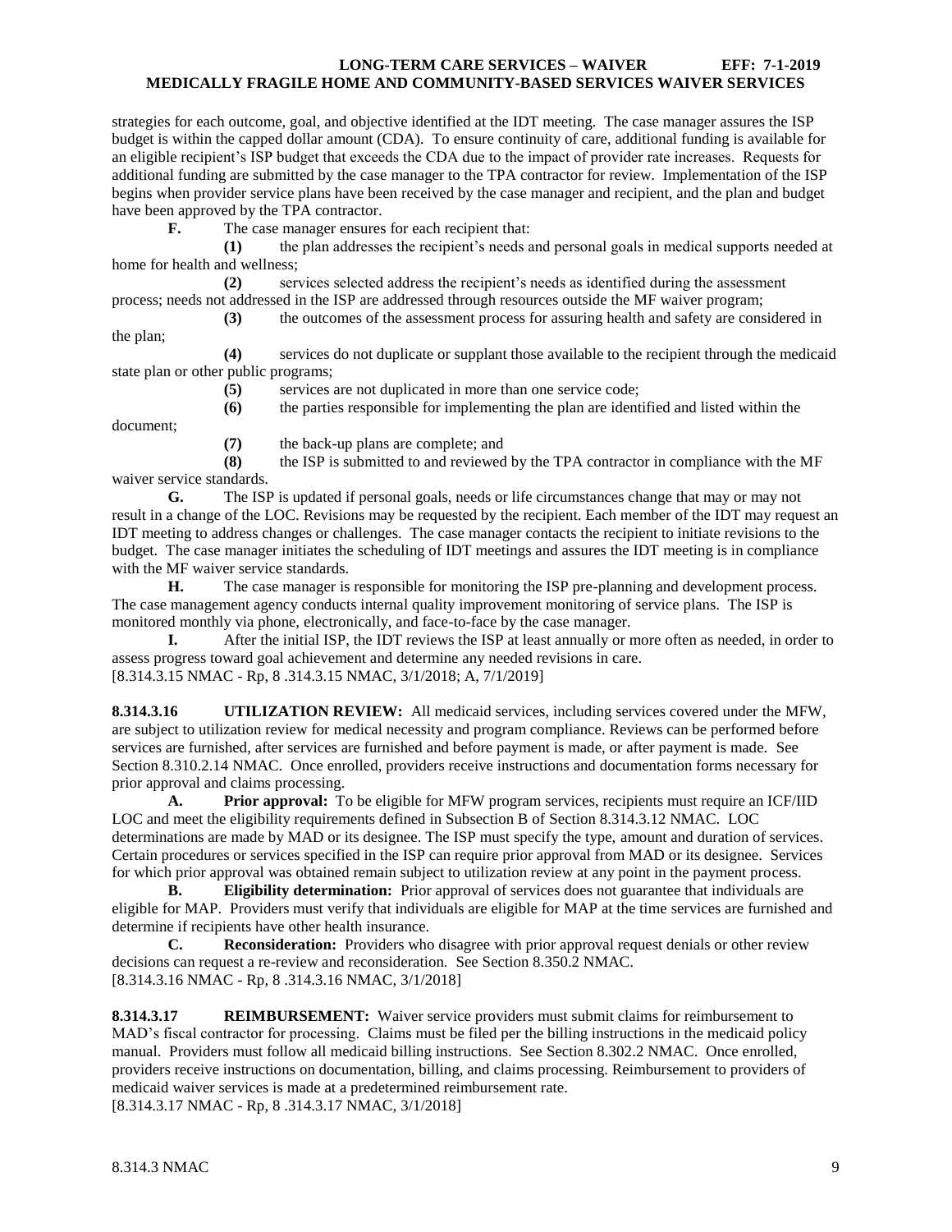strategies for each outcome, goal, and objective identified at the IDT meeting. The case manager assures the ISP budget is within the capped dollar amount (CDA). To ensure continuity of care, additional funding is available for an eligible recipient's ISP budget that exceeds the CDA due to the impact of provider rate increases. Requests for additional funding are submitted by the case manager to the TPA contractor for review. Implementation of the ISP begins when provider service plans have been received by the case manager and recipient, and the plan and budget have been approved by the TPA contractor.

**F.** The case manager ensures for each recipient that:

**(1)** the plan addresses the recipient's needs and personal goals in medical supports needed at home for health and wellness;

**(2)** services selected address the recipient's needs as identified during the assessment process; needs not addressed in the ISP are addressed through resources outside the MF waiver program;

**(3)** the outcomes of the assessment process for assuring health and safety are considered in

the plan;

document;

**(4)** services do not duplicate or supplant those available to the recipient through the medicaid state plan or other public programs;

**(5)** services are not duplicated in more than one service code;

**(6)** the parties responsible for implementing the plan are identified and listed within the

**(7)** the back-up plans are complete; and

**(8)** the ISP is submitted to and reviewed by the TPA contractor in compliance with the MF waiver service standards.

**G.** The ISP is updated if personal goals, needs or life circumstances change that may or may not result in a change of the LOC. Revisions may be requested by the recipient. Each member of the IDT may request an IDT meeting to address changes or challenges. The case manager contacts the recipient to initiate revisions to the budget. The case manager initiates the scheduling of IDT meetings and assures the IDT meeting is in compliance with the MF waiver service standards.

**H.** The case manager is responsible for monitoring the ISP pre-planning and development process. The case management agency conducts internal quality improvement monitoring of service plans. The ISP is monitored monthly via phone, electronically, and face-to-face by the case manager.

**I.** After the initial ISP, the IDT reviews the ISP at least annually or more often as needed, in order to assess progress toward goal achievement and determine any needed revisions in care. [8.314.3.15 NMAC - Rp, 8 .314.3.15 NMAC, 3/1/2018; A, 7/1/2019]

<span id="page-9-0"></span>**8.314.3.16 UTILIZATION REVIEW:** All medicaid services, including services covered under the MFW, are subject to utilization review for medical necessity and program compliance. Reviews can be performed before services are furnished, after services are furnished and before payment is made, or after payment is made. See Section 8.310.2.14 NMAC. Once enrolled, providers receive instructions and documentation forms necessary for prior approval and claims processing.

**A. Prior approval:** To be eligible for MFW program services, recipients must require an ICF/IID LOC and meet the eligibility requirements defined in Subsection B of Section 8.314.3.12 NMAC. LOC determinations are made by MAD or its designee. The ISP must specify the type, amount and duration of services. Certain procedures or services specified in the ISP can require prior approval from MAD or its designee. Services for which prior approval was obtained remain subject to utilization review at any point in the payment process.

**B. Eligibility determination:** Prior approval of services does not guarantee that individuals are eligible for MAP. Providers must verify that individuals are eligible for MAP at the time services are furnished and determine if recipients have other health insurance.

**C. Reconsideration:** Providers who disagree with prior approval request denials or other review decisions can request a re-review and reconsideration. See Section 8.350.2 NMAC. [8.314.3.16 NMAC - Rp, 8 .314.3.16 NMAC, 3/1/2018]

<span id="page-9-1"></span>**8.314.3.17 REIMBURSEMENT:** Waiver service providers must submit claims for reimbursement to MAD's fiscal contractor for processing. Claims must be filed per the billing instructions in the medicaid policy manual. Providers must follow all medicaid billing instructions. See Section 8.302.2 NMAC. Once enrolled, providers receive instructions on documentation, billing, and claims processing. Reimbursement to providers of medicaid waiver services is made at a predetermined reimbursement rate. [8.314.3.17 NMAC - Rp, 8 .314.3.17 NMAC, 3/1/2018]